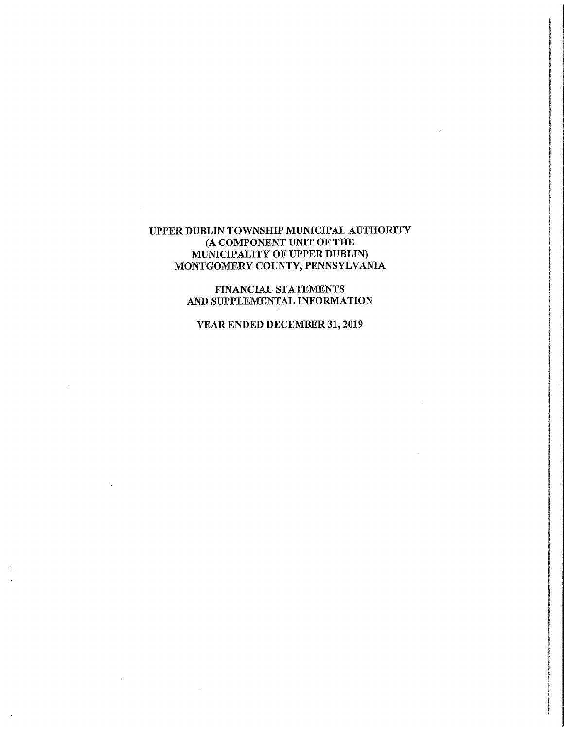# UPPER DUBLIN TOWNSHIP MUNICIPAL AUTHORITY (A COMPONENT UNIT OF THE MUNICIPALITY OF UPPER DUBLIN) MONTGOMERY COUNTY, PENNSYLVANIA

# FINANCIAL STATEMENTS AND SUPPLEMENTAL INFORMATION

YEAR ENDED DECEMBER 31,2019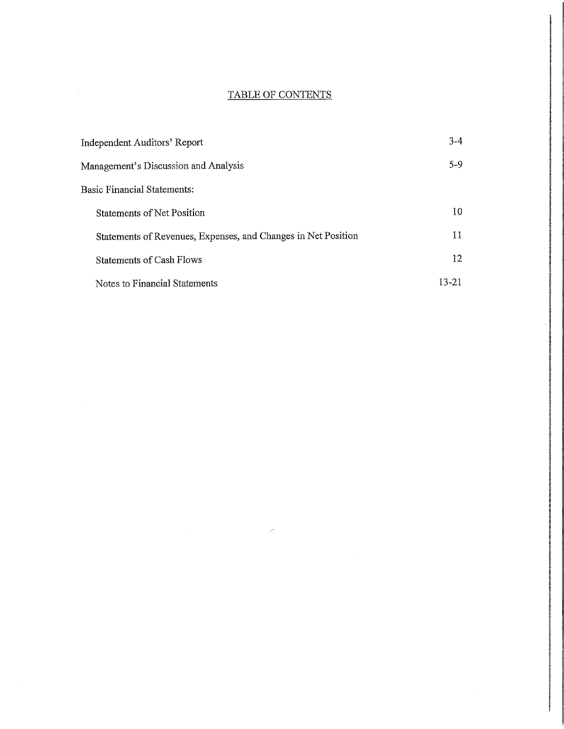# TABLE OF CONTENTS

 $\bar{\beta}$ 

| Independent Auditors' Report                                  | $3-4$ |
|---------------------------------------------------------------|-------|
| Management's Discussion and Analysis                          | $5-9$ |
| <b>Basic Financial Statements:</b>                            |       |
| Statements of Net Position                                    | 10    |
| Statements of Revenues, Expenses, and Changes in Net Position | 11    |
| <b>Statements of Cash Flows</b>                               | 12    |
| Notes to Financial Statements                                 | 13-21 |

 $\sim$   $\sigma$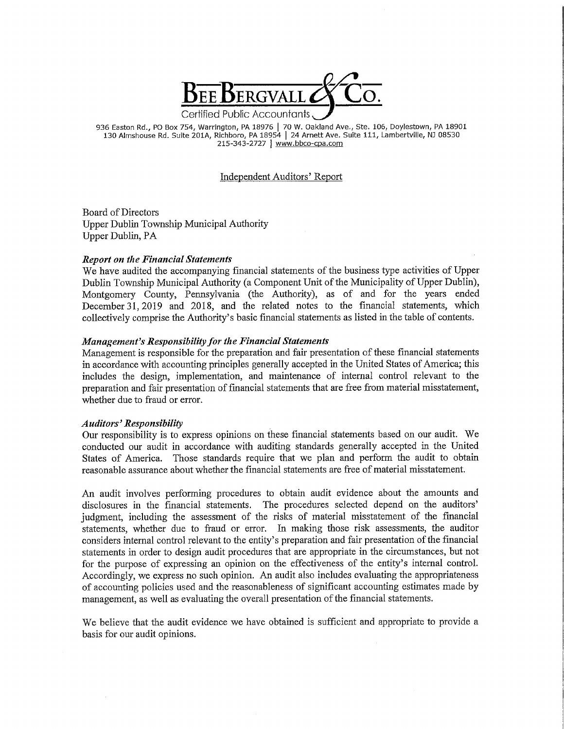

936 Easton Rd., PO Box 754, Warrington, PA 18976 70 W. Oakland Ave., Ste. 106, Doylestown, PA 18901 130 Almshouse Rd. Suite 201A, Richboro, PA 18954 | 24 Arnett Ave. Suite 111, Lambertville, NJ 08530 215-343-2727 | www.bbco-cpa.com

# Independent Auditors' Report

Board of Directors Upper Dublin Township Municipal Authority Upper Dublin, PA

### *Report on the Financial Statements*

We have audited the accompanying financial statements of the business type activities of Upper Dublin Township Municipal Authority (a Component Unit of the Municipality of Upper Dublin), Montgomery County, Pennsylvania (the Authority), as of and for the years ended December 31, 2019 and 2018, and the related notes to the financial statements, which collectively comprise the Authority's basic financial statements as listed in the table of contents.

## *Management's Responsibility for the Financial Statements*

Management is responsible for the preparation and fair presentation of these financial statements in accordance with accounting principles generally accepted in the United States of America; this includes the design, implementation, and maintenance of internal control relevant to the preparation and fair presentation of fmancial statements that are free from material misstatement, whether due to fraud or error.

# *Auditors' Responsibility*

Our responsibility is to express opinions on these financial statements based on our audit. We conducted our audit in accordance with auditing standards generally accepted in the United States of America. Those standards require that we plan and perform the audit to obtain reasonable assurance about whether the financial statements are free of material misstatement.

An audit involves performing procedures to obtain audit evidence about the amounts and disclosures in the financial statements. The procedures selected depend on the auditors' judgment, including the assessment of the risks of material misstatement of the financial statements, whether due to fraud or error. In making those risk assessments, the auditor considers internal control relevant to the entity's preparation and fair presentation of the financial statements in order to design audit procedures that are appropriate in the circumstances, but not for the purpose of expressing an opinion on the effectiveness of the entity's internal control. Accordingly, we express no such opinion. An audit also includes evaluating the appropriateness of accounting policies used and the reasonableness of significant accounting estimates made by management, as well as evaluating the overall presentation of the financial statements.

We believe that the audit evidence we have obtained is sufficient and appropriate to provide a basis for our audit opinions.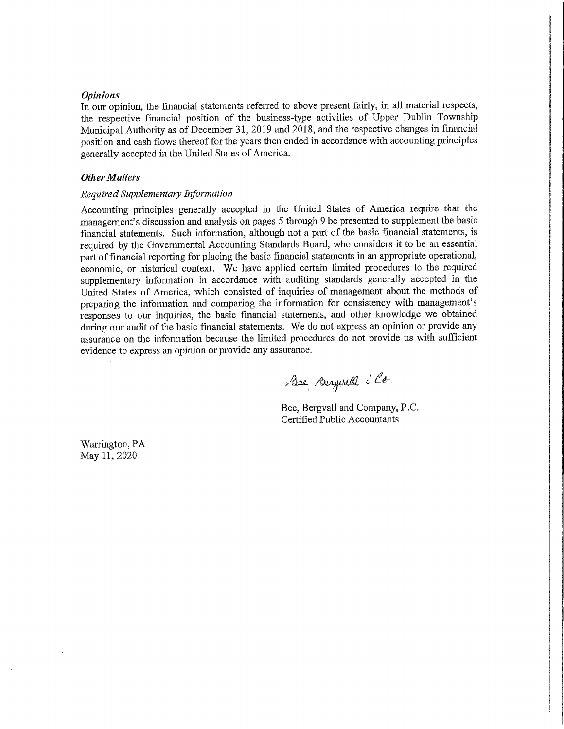#### *Opinions*

In our opinion, the financial statements referred to above present fairly, in all material respects, the respective financial position of the business-type activities of Upper Dublin Township Municipal Authority as of December 31, 2019 and 2018, and the respective changes in financial position and cash flows thereof for the years then ended in accordance with accounting principles generally accepted in the United States of America.

### *Other Matters*

#### *Required Supplementary Information*

Accounting principles generally accepted in the United States of America require that the management's discussion and analysis on pages 5 through 9 be presented to supplement the basic financial statements. Such information, although not a part of the basic fmancial statements, is required by the Governmental Accounting Standards Board, who considers it to be an essential part of financial reporting for placing the basic financial statements in an appropriate operational, economic, or historical context. We have applied certain limited procedures to the required supplementary information in accordance with auditing standards generally accepted in the United States of America, which consisted of inquiries of management about the methods of preparing the information and comparing the information for consistency with management's responses to our inquiries, the basic financial statements, and other knowledge we obtained during our audit of the basic fmaneial statements. We do not express an opinion or provide any assurance on the information because the limited procedures do not provide us with sufficient evidence to express an opinion or provide any assurance.

Bee Bergerald MB.

Bee, Bergvall and Company, P.C. Certified Public Accountants

Warrington, PA May 11,2020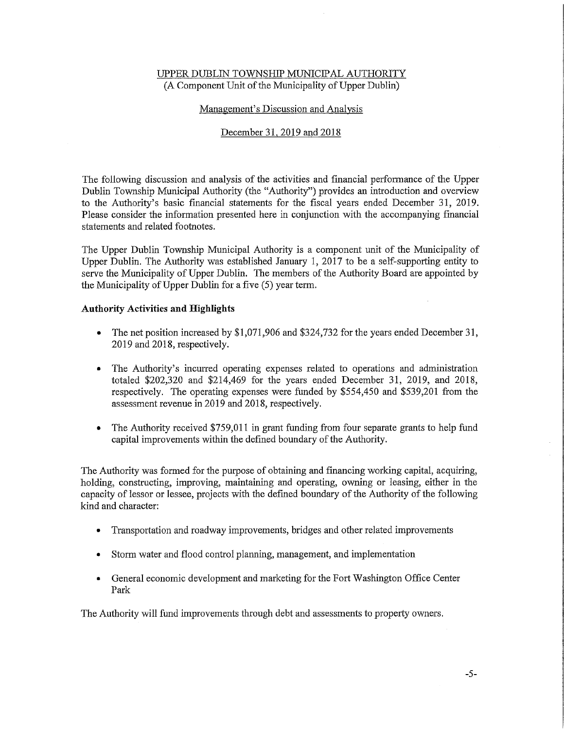### Management's Discussion and Analysis

### December 31, 2019 and 2018

The following discussion and analysis of the activities and financial performance of the Upper Dublin Township Municipal Authority (the "Authority") provides an introduction and overview to the Authority's basic financial statements for the fiscal years ended December 31, 2019. Please consider the information presented here in conjunction with the accompanying financial statements and related footnotes.

The Upper Dublin Township Municipal Authority is a component unit of the Municipality of Upper Dublin. The Authority was established January 1, 2017 to be a self-supporting entity to serve the Municipality of Upper Dublin. The members of the Authority Board are appointed by the Municipality of Upper Dublin for a five (5) year term.

### Authority Activities and Highlights

- The net position increased by \$1,071,906 and \$324,732 for the years ended December 31, 2019 and 2018, respectively.
- The Authority's incurred operating expenses related to operations and administration totaled \$202,320 and \$214,469 for the years ended December 31, 2019, and 2018, respectively. The operating expenses were funded by \$554,450 and \$539,201 from the assessment revenue in 2019 and 2018, respectively.
- The Authority received \$759,011 in grant funding from four separate grants to help fund capital improvements within the defined boundary of the Authority.

The Authority was formed for the purpose of obtaining and financing working capital, acquiring, holding, constructing, improving, maintaining and operating, owning or leasing, either in the capacity of lessor or lessee, projects with the defined boundary of the Authority of the following kind and character:

- Transportation and roadway improvements, bridges and other related improvements
- Storm water and flood control planning, management, and implementation
- General economic development and marketing for the Fort Washington Office Center Park

The Authority will fund improvements through debt and assessments to property owners.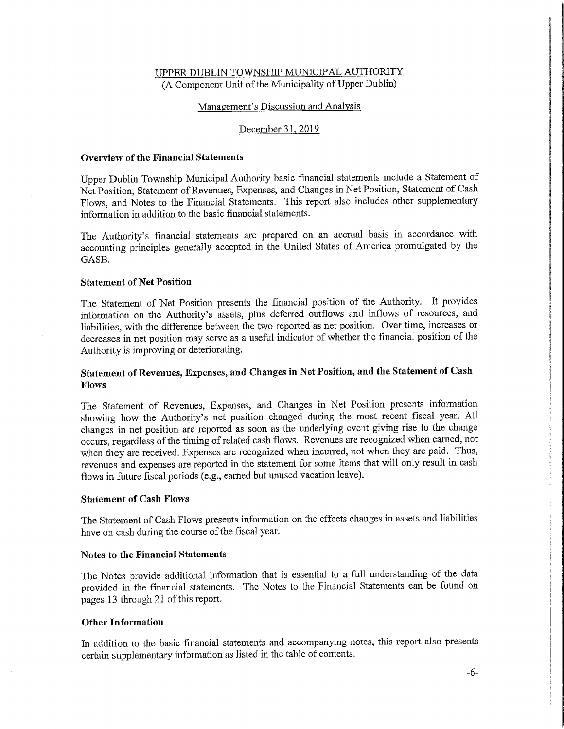### Management's Discussion and Analysis

#### December 31, 2019

## **Overview of the Financial Statements**

Upper Dublin Township Municipal Authority basic financial statements include a Statement of Net Position, Statement of Revenues, Expenses, and Changes in Net Position, Statement of Cash Flows, and Notes to the Financial Statements. This report also includes other supplementary information in addition to the basic financial statements.

The Authority's financial statements are prepared on an accrual basis in accordance with accounting principles generally accepted in the United States of America promulgated by the GASB.

#### **Statement of Net Position**

The Statement of Net Position presents the financial position of the Authority. It provides information on the Authority's assets, plus deferred outflows and inflows of resources, and liabilities, with the difference between the two reported as net position. Over time, increases or decreases in net position may serve as a useful indicator of whether the financial position of the Authority is improving or deteriorating.

# **Statement of Revenues, Expenses, and Changes in Net Position, and the Statement of Cash Flows**

The Statement of Revenues, Expenses, and Changes in Net Position presents information showing how the Authority's net position changed during the most recent fiscal year. All changes in net position are reported as soon as the underlying event giving rise to the change occurs, regardless of the timing of related cash flows. Revenues are recognized when earned, not when they are received. Expenses are recognized when incurred, not when they are paid. Thus, revenues and expenses are reported in the statement for some items that will only result in cash flows in future fiscal periods (e.g., earned but unused vacation leave).

#### **Statement of Cash Flows**

The Statement of Cash Flows presents information on the effects changes in assets and liabilities have on cash during the course of the fiscal year.

#### **Notes to the Financial Statements**

The Notes provide additional information that is essential to a full understanding of the data provided in the financial statements. The Notes to the Financial Statements can be found on pages 13 through 21 of this report.

#### **Other Information**

In addition to the basic financial statements and accompanying notes, this report also presents certain supplementary information as listed in the table of contents.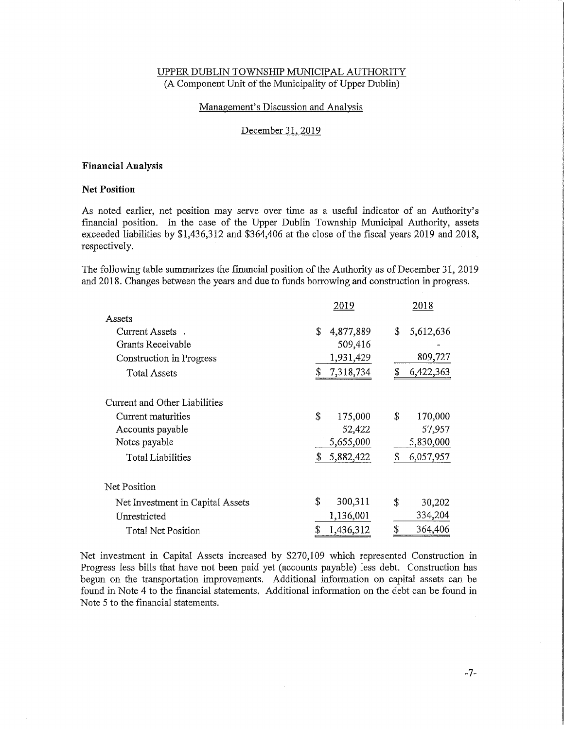#### Management's Discussion and Analysis

#### December 31, 2019

#### **Financial Analysis**

### **Net Position**

As noted earlier, net position may serve over time as a useful indicator of an Authority's financial position. In the case of the Upper Dublin Township Municipal Authority, assets exceeded liabilities by \$1,436,312 and \$364,406 at the close of the fiscal years 2019 and 2018, respectively.

The following table summarizes the fmancial position of the Authority as of December 31, 2019 and 2018. Changes between the years and due to funds borrowing and construction in progress.

|                                  | 2019 |           |    | 2018      |  |
|----------------------------------|------|-----------|----|-----------|--|
| Assets                           |      |           |    |           |  |
| Current Assets                   | \$   | 4,877,889 | \$ | 5,612,636 |  |
| Grants Receivable                |      | 509,416   |    |           |  |
| Construction in Progress         |      | 1,931,429 |    | 809,727   |  |
| Total Assets                     |      | 7,318,734 | \$ | 6,422,363 |  |
| Current and Other Liabilities    |      |           |    |           |  |
| Current maturities               | \$   | 175,000   | \$ | 170,000   |  |
| Accounts payable                 |      | 52,422    |    | 57,957    |  |
| Notes payable                    |      | 5,655,000 |    | 5,830,000 |  |
| Total Liabilities                | \$   | 5,882,422 | \$ | 6,057,957 |  |
| Net Position                     |      |           |    |           |  |
| Net Investment in Capital Assets | \$   | 300,311   | \$ | 30,202    |  |
| Unrestricted                     |      | 1,136,001 |    | 334,204   |  |
| Total Net Position               |      | 1,436,312 | \$ | 364,406   |  |

Net investment in Capital Assets increased by \$270,109 which represented Construction in Progress less bills that have not been paid yet (accounts payable) less debt. Construction has begun on the transportation improvements. Additional information on capital assets can be found in Note 4 to the financial statements. Additional information on the debt can be found in Note 5 to the financial statements.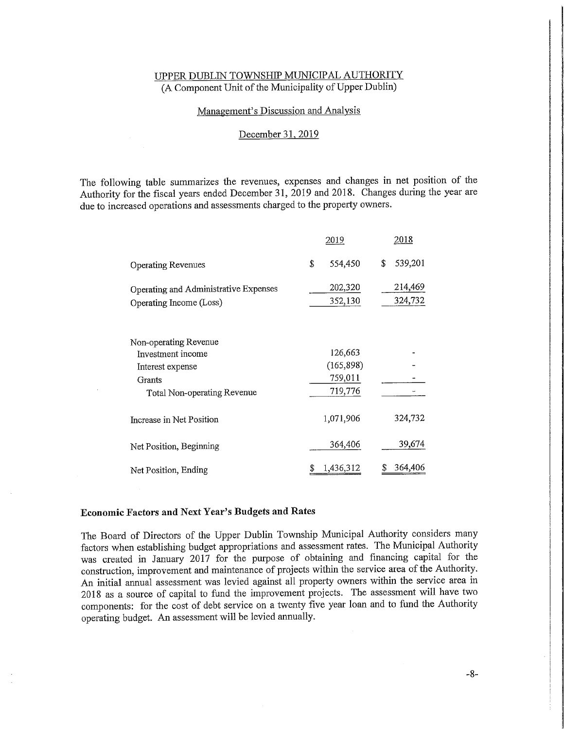#### Management's Discussion and Analysis

#### December 31, 2019

The following table summarizes the revenues, expenses and changes in net position of the Authority for the fiscal years ended December 31, 2019 and 2018. Changes during the year are due to increased operations and assessments charged to the property owners.

|                                                                                                         | 2019                                        | 2018               |
|---------------------------------------------------------------------------------------------------------|---------------------------------------------|--------------------|
| <b>Operating Revenues</b>                                                                               | \$<br>554,450                               | \$<br>539,201      |
| Operating and Administrative Expenses<br>Operating Income (Loss)                                        | 202,320<br>352,130                          | 214,469<br>324,732 |
| Non-operating Revenue<br>Investment income<br>Interest expense<br>Grants<br>Total Non-operating Revenue | 126,663<br>(165, 898)<br>759,011<br>719,776 |                    |
| Increase in Net Position                                                                                | 1,071,906                                   | 324,732            |
| Net Position, Beginning                                                                                 | 364,406                                     | 39,674             |
| Net Position, Ending                                                                                    | 1,436,312                                   | 364,406            |

# **Economic Factors and Next Year's Budgets and Rates**

The Board of Directors of the Upper Dublin Township Municipal Authority considers many factors when establishing budget appropriations and assessment rates. The Municipal Authority was created in January 2017 for the purpose of obtaining and financing capital for the construction, improvement and maintenance of projects within the service area of the Authority. An initial annual assessment was levied against all property owners within the service area in 2018 as a source of capital to fund the improvement projects. The assessment will have two components: for the cost of debt service on a twenty five year loan and to fund the Authority operating budget. An assessment will be levied annually.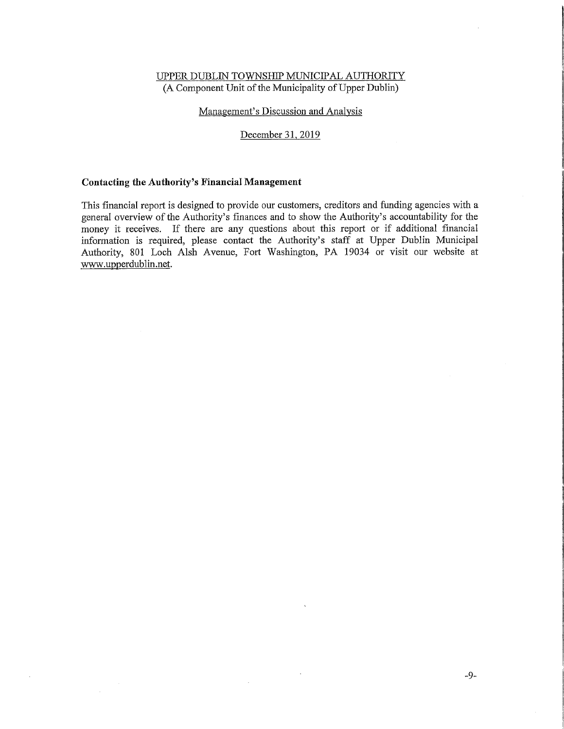### Management's Discussion and Analysis

# December 31, 2019

### **Contacting the Authority's Financial Management**

This financial report is designed to provide our customers, creditors and funding agencies with a general overview of the Authority's finances and to show the Authority's accountability for the money it receives. If there are any questions about this report or if additional financial information is required, please contact the Authority's staff at Upper Dublin Municipal Authority, 801 Loch Alsh Avenue, Fort Washington, PA 19034 or visit our website at www.upperdublin.net.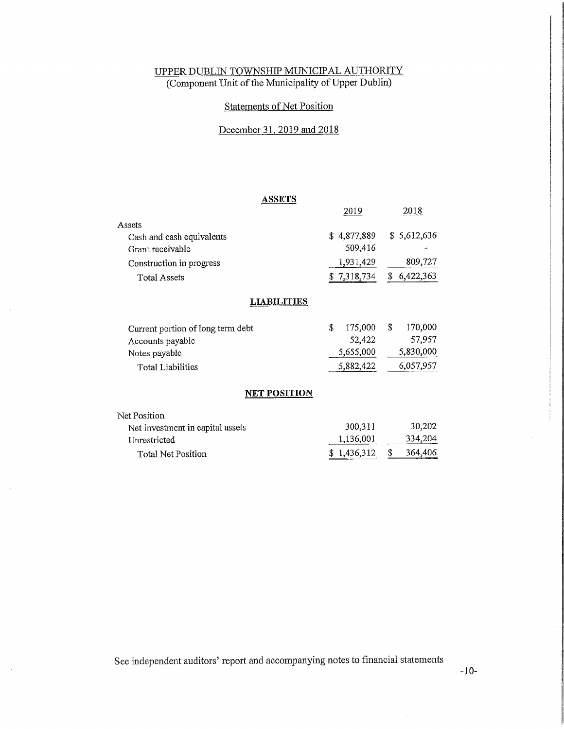# Statements of Net Position

# December 31, 2019 and 2018

 $\overline{A}$  common

| ASSETS                            |               |               |
|-----------------------------------|---------------|---------------|
|                                   | 2019          | <u>2018</u>   |
| Assets                            |               |               |
| Cash and cash equivalents         | \$4,877,889   | \$5,612,636   |
| Grant receivable                  | 509,416       |               |
| Construction in progress          | 1,931,429     | 809,727       |
| Total Assets                      | \$7,318,734   | \$6,422,363   |
| <b>LIABILITIES</b>                |               |               |
| Current portion of long term debt | \$<br>175,000 | \$<br>170,000 |
| Accounts payable                  | 52,422        | 57,957        |
| Notes payable                     | 5,655,000     | 5,830,000     |
| Total Liabilities                 | 5,882,422     | 6,057,957     |
| <b>NET POSITION</b>               |               |               |
| Net Position                      |               |               |
| Net investment in capital assets  | 300,311       | 30,202        |
| <b>Unrestricted</b>               | 1,136,001     | 334,204       |
| <b>Total Net Position</b>         | \$1,436,312   | \$<br>364,406 |

 $\sim$ 

See independent auditors' report and accompanying notes to financial statements

-10-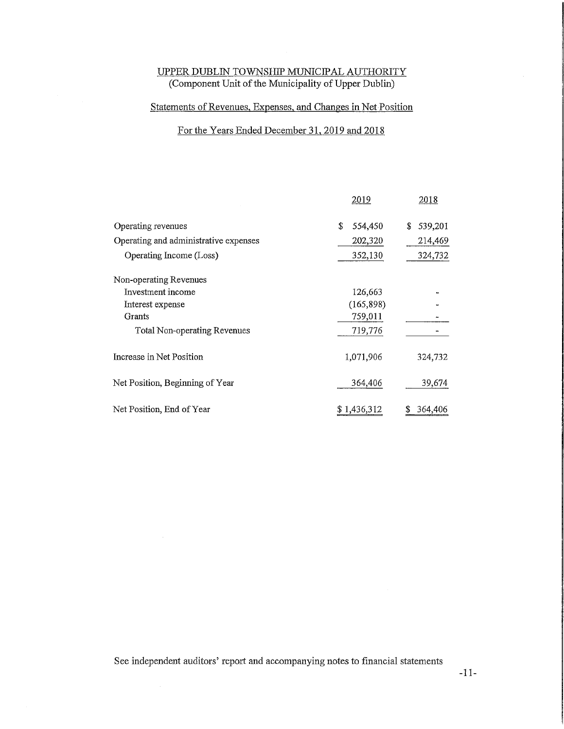# Statements of Revenues, Expenses, and Changes in Net Position

## For the Years Ended December 31, 2019 and 2018

|                                       | 2019          | 2018         |
|---------------------------------------|---------------|--------------|
| Operating revenues                    | \$<br>554,450 | S<br>539,201 |
| Operating and administrative expenses | 202,320       | 214,469      |
| Operating Income (Loss)               | 352,130       | 324,732      |
| Non-operating Revenues                |               |              |
| Investment income                     | 126,663       |              |
| Interest expense                      | (165, 898)    |              |
| Grants                                | 759,011       |              |
| Total Non-operating Revenues          | 719,776       |              |
| Increase in Net Position              | 1,071,906     | 324,732      |
| Net Position, Beginning of Year       | 364,406       | 39,674       |
| Net Position, End of Year             | \$1,436,312   | 364,406      |

See independent auditors' report and accompanying notes to financial statements

-11-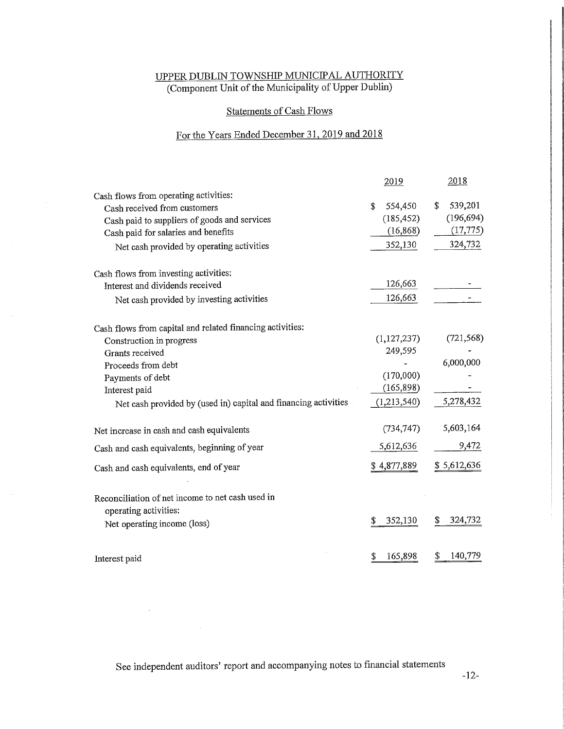# Statements of Cash Flows

# For the Years Ended December 31, 2019 and 2018

|                                                                           | 2019          | 2018          |
|---------------------------------------------------------------------------|---------------|---------------|
| Cash flows from operating activities:                                     |               |               |
| Cash received from customers                                              | \$<br>554,450 | 539,201<br>S. |
| Cash paid to suppliers of goods and services                              | (185, 452)    | (196, 694)    |
| Cash paid for salaries and benefits                                       | (16, 868)     | (17, 775)     |
| Net cash provided by operating activities                                 | 352,130       | 324,732       |
| Cash flows from investing activities:                                     |               |               |
| Interest and dividends received                                           | 126,663       |               |
| Net cash provided by investing activities                                 | 126,663       |               |
| Cash flows from capital and related financing activities:                 |               |               |
| Construction in progress                                                  | (1, 127, 237) | (721, 568)    |
| Grants received                                                           | 249,595       |               |
| Proceeds from debt                                                        |               | 6,000,000     |
| Payments of debt                                                          | (170,000)     |               |
| Interest paid                                                             | (165, 898)    |               |
| Net cash provided by (used in) capital and financing activities           | (1,213,540)   | 5,278,432     |
| Net increase in cash and cash equivalents                                 | (734, 747)    | 5,603,164     |
| Cash and cash equivalents, beginning of year                              | 5,612,636     | 9,472         |
| Cash and cash equivalents, end of year                                    | \$4,877,889   | \$5,612,636   |
| Reconciliation of net income to net cash used in<br>operating activities: |               |               |
| Net operating income (loss)                                               | 352,130<br>\$ | 324,732<br>S  |
| Interest paid                                                             | \$<br>165,898 | 140,779<br>\$ |

 $\epsilon$ 

 $\alpha$ 

See independent auditors' report and accompanying notes to financial statements

 $\sim$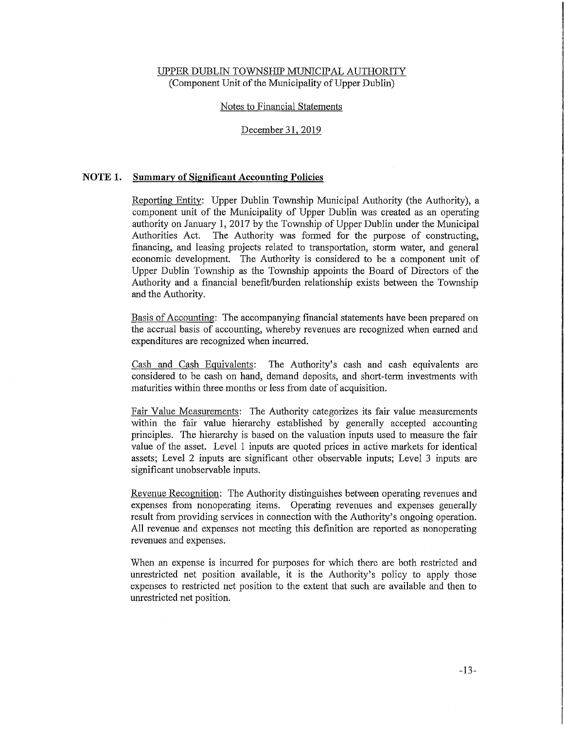### Notes to Financial Statements

#### December 31, 2019

## **NOTE 1. Summary of Significant Accounting Policies**

Reporting Entity: Upper Dublin Township Municipal Authority (the Authority), a component unit of the Municipality of Upper Dublin was created as an operating authority on January 1, 2017 by the Township of Upper Dublin under the Municipal Authorities Act. The Authority was formed for the purpose of constructing, financing, and leasing projects related to transportation, storm water, and general economic development. The Authority is considered to be a component unit of Upper Dublin Township as the Township appoints the Board of Directors of the Authority and a financial benefit/burden relationship exists between the Township and the Authority.

Basis of Accounting: The accompanying financial statements have been prepared on the accrual basis of accounting, whereby revenues are recognized when earned and expenditures are recognized when incurred.

Cash and Cash Equivalents: The Authority's cash and cash equivalents are considered to be cash on hand, demand deposits, and short-term investments with maturities within three months or less from date of acquisition.

Fair Value Measurements: The Authority categorizes its fair value measurements within the fair value hierarchy established by generally accepted accounting principles. The hierarchy is based on the valuation inputs used to measure the fair value of the asset. Level 1 inputs are quoted prices in active markets for identical assets; Level 2 inputs are significant other observable inputs; Level 3 inputs are significant unobservable inputs.

Revenue Recognition: The Authority distinguishes between operating revenues and expenses from nonoperating items. Operating revenues and expenses generally result from providing services in connection with the Authority's ongoing operation. All revenue and expenses not meeting this definition are reported as nonoperating revenues and expenses.

When an expense is incurred for purposes for which there are both restricted and unrestricted net position available, it is the Authority's policy to apply those expenses to restricted net position to the extent that such are available and then to unrestricted net position.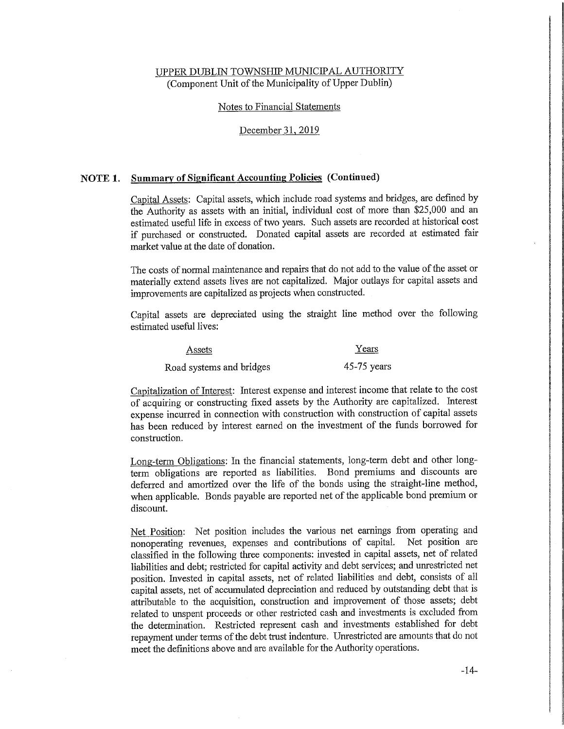#### Notes to Financial Statements

#### December 31, 2019

### NOTE 1. Summary of Significant Accounting Policies (Continued)

Capital Assets: Capital assets, which include road systems and bridges, are defined by the Authority as assets with an initial, individual cost of more than \$25,000 and an estimated useful life in excess of two years. Such assets are recorded at historical cost if purchased or constructed. Donated capital assets are recorded at estimated fair market value at the date of donation.

The costs of normal maintenance and repairs that do not add to the value of the asset or materially extend assets lives are not capitalized. Major outlays for capital assets and improvements are capitalized as projects when constructed.

Capital assets are depreciated using the straight line method over the following estimated useful lives:

| Assets                   | Years         |
|--------------------------|---------------|
| Road systems and bridges | $45-75$ years |

Capitalization of Interest: Interest expense and interest income that relate to the cost of acquiring or constructing fixed assets by the Authority are capitalized. Interest expense incurred in connection with construction with construction of capital assets has been reduced by interest earned on the investment of the funds borrowed for construction.

Long-term Obligations: In the financial statements, long-term debt and other longterm obligations are reported as liabilities. Bond premiums and discounts are deferred and amortized over the life of the bonds using the straight-line method, when applicable. Bonds payable are reported net of the applicable bond premium or discount.

Net Position: Net position includes the various net earnings from operating and nonoperating revenues, expenses and contributions of capital. Net position are classified in the following three components: invested in capital assets, net of related liabilities and debt; restricted for capital activity and debt services; and unrestricted net position. Invested in capital assets, net of related liabilities and debt, consists of all capital assets, net of accumulated depreciation and reduced by outstanding debt that is attributable to the acquisition, construction and improvement of those assets; debt related to unspent proceeds or other restricted cash and investments is excluded from the determination. Restricted represent cash and investments established for debt repayment under terms of the debt trust indenture. Unrestricted are amounts that do not meet the definitions above and are available for the Authority operations.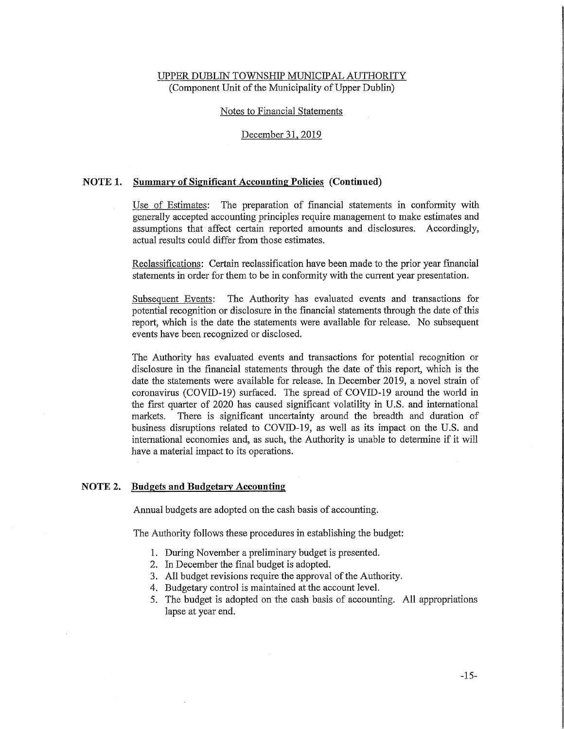Notes to Financial Statements

### December 31, 2019

### **NOTE 1. Summary of Significant Accounting Policies(Continued)**

Use of Estimates: The preparation of financial statements in conformity with generally accepted accounting principles require management to make estimates and assumptions that affect certain reported amounts and disclosures. Accordingly, actual results could differ from those estimates.

Reclassifications: Certain reclassification have been made to the prior year financial statements in order for them to be in conformity with the current year presentation.

Subsequent Events: The Authority has evaluated events and transactions for potential recognition or disclosure in the financial statements through the date of this report, which is the date the statements were available for release. No subsequent events have been recognized or disclosed.

The Authority has evaluated events and transactions for potential recognition or disclosure in the financial statements through the date of this report, which is the date the statements were available for release. In December 2019, a novel strain of coronavirus (COV1D-19) surfaced. The spread of COV1D-19 around the world in the first quarter of 2020 has caused significant volatility in U.S. and international markets. There is significant uncertainty around the breadth and duration of business disruptions related to COVID-19, as well as its impact on the U.S. and international economies and, as such, the Authority is unable to determine if it will have a material impact to its operations.

#### **NOTE 2. Budgets and Budgetary Accounting**

Annual budgets are adopted on the cash basis of accounting.

The Authority follows these procedures in establishing the budget:

- 1. During November a preliminary budget is presented.
- 2. In December the final budget is adopted.
- 3. All budget revisions require the approval of the Authority.
- 4. Budgetary control is maintained at the account level.
- 5. The budget is adopted on the cash basis of accounting. All appropriations lapse at year end.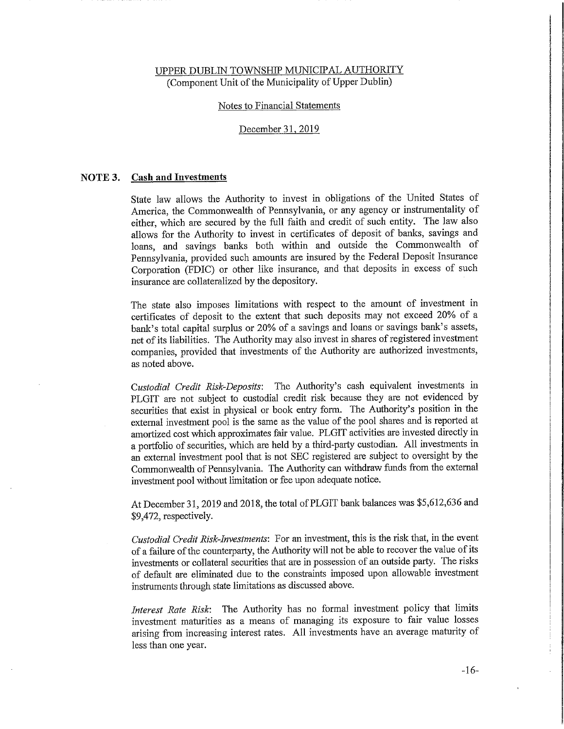### Notes to Financial Statements

#### December 31, 2019

## **NOTE 3. Cash and Investments**

State law allows the Authority to invest in obligations of the United States of America, the Commonwealth of Pennsylvania, or any agency or instrumentality of either, which are secured by the full faith and credit of such entity. The law also allows for the Authority to invest in certificates of deposit of banks, savings and loans, and savings banks both within and outside the Commonwealth of Pennsylvania, provided such amounts are insured by the Federal Deposit Insurance Corporation (FDIC) or other like insurance, and that deposits in excess of such insurance are collateralized by the depository.

The state also imposes limitations with respect to the amount of investment in certificates of deposit to the extent that such deposits may not exceed 20% of a bank's total capital surplus or 20% of a savings and loans or savings bank's assets, net of its liabilities. The Authority may also invest in shares of registered investment companies, provided that investments of the Authority are authorized investments, as noted above.

*Custodial Credit Risk-Deposits:* The Authority's cash equivalent investments in PLGIT are not subject to custodial credit risk because they are not evidenced by securities that exist in physical or book entry form. The Authority's position in the external investment pool is the same as the value of the pool shares and is reported at amortized cost which approximates fair value. PLGIT activities are invested directly in a portfolio of securities, which are held by a third-party custodian. All investments in an external investment pool that is not SEC registered are subject to oversight by the Commonwealth of Pennsylvania. The Authority can withdraw funds from the external investment pool without limitation or fee upon adequate notice.

At December 31, 2019 and 2018, the total of PLGIT bank balances was \$5,612,636 and \$9,472, respectively.

*Custodial Credit Risk-Investments:* For an investment, this is the risk that, in the event of a failure of the counterparty, the Authority will not be able to recover the value of its investments or collateral securities that are in possession of an outside party. The risks of default are eliminated due to the constraints imposed upon allowable investment instruments through state limitations as discussed above.

*Interest Rate Risk:* The Authority has no formal investment policy that limits investment maturities as a means of managing its exposure to fair value losses arising from increasing interest rates. All investments have an average maturity of less than one year.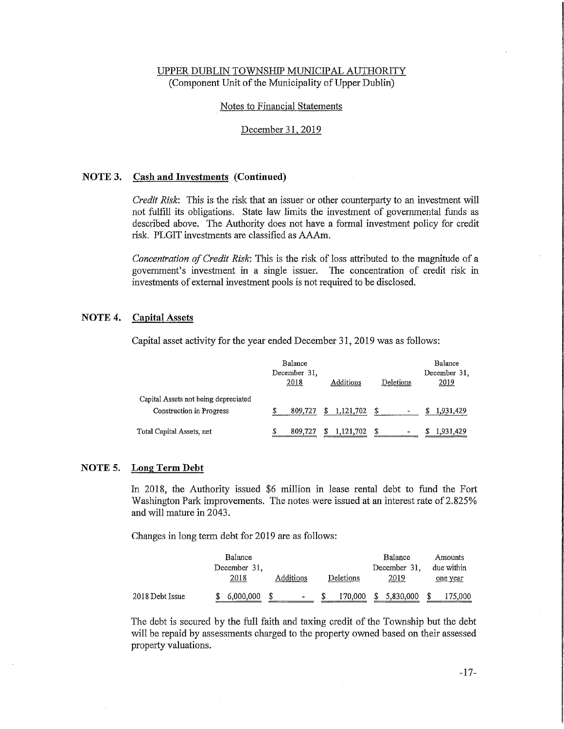## Notes to Financial Statements

#### December 31, 2019

## **NOTE 3. Cash and Investments(Continued)**

*Credit Risk:* This is the risk that an issuer or other counterparty to an investment will not fulfill its obligations. State law limits the investment of governmental funds as described above. The Authority does not have a formal investment policy for credit risk. PLGIT investments are classified as AAAm.

*Concentration of Credit Risk:* This is the risk of loss attributed to the magnitude of a government's investment in a single issuer. The concentration of credit risk in investments of external investment pools is not required to be disclosed.

## **NOTE 4. Capital Assets**

Capital asset activity for the year ended December 31, 2019 was as follows:

|                                                                  |   | Balance<br>December 31.<br>2018 |   | Additions |    | Deletions | Balance<br>December 31,<br>2019 |
|------------------------------------------------------------------|---|---------------------------------|---|-----------|----|-----------|---------------------------------|
| Capital Assets not being depreciated<br>Construction in Progress |   | 809,727                         | S | 1,121,702 | -S |           | 1.931.429                       |
| Total Capital Assets, net                                        | 5 | 809,727                         |   | 1,121,702 |    |           | 1,931,429                       |

## **NOTE 5. Long Term Debt**

In 2018, the Authority issued \$6 million in lease rental debt to fund the Fort Washington Park improvements. The notes were issued at an interest rate of 2.825% and will mature in 2043.

Changes in long term debt for 2019 are as follows:

| Balance         |                 |           |           | Balance              | Amounts    |
|-----------------|-----------------|-----------|-----------|----------------------|------------|
|                 | December 31,    |           |           | December 31.         | due within |
|                 | 2018            | Additions | Deletions | 2019                 | one year   |
| 2018 Debt Issue | $$6,000,000$ \$ | $\sim$    |           | 170,000 \$ 5,830,000 | 175,000    |

The debt is secured by the full faith and taxing credit of the Township but the debt will be repaid by assessments charged to the property owned based on their assessed property valuations.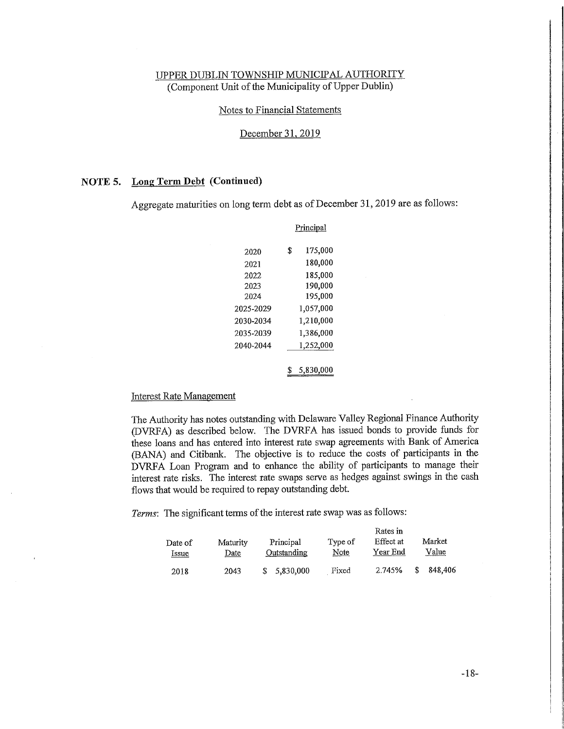Notes to Financial Statements

### December 31, 2019

# **NOTE 5. Long Term Debt(Continued)**

Aggregate maturities on long term debt as of December 31, 2019 are as follows:

|           | Principal |           |  |
|-----------|-----------|-----------|--|
| 2020      | S         | 175,000   |  |
| 2021      |           | 180,000   |  |
| 2022      |           | 185,000   |  |
| 2023      |           | 190,000   |  |
| 2024      |           | 195,000   |  |
| 2025-2029 |           | 1,057,000 |  |
| 2030-2034 |           | 1,210,000 |  |
| 2035-2039 |           | 1.386.000 |  |
| 2040-2044 |           | 1,252,000 |  |
|           |           |           |  |
|           | S         | 5,830,000 |  |

### Interest Rate Management

The Authority has notes outstanding with Delaware Valley Regional Finance Authority (DVRFA) as described below. The DVRFA has issued bonds to provide funds for these loans and has entered into interest rate swap agreements with Bank of America (BANA) and Citibank. The objective is to reduce the costs of participants in the DVRFA Loan Program and to enhance the ability of participants to manage their interest rate risks. The interest rate swaps serve as hedges against swings in the cash flows that would be required to repay outstanding debt.

*Terms:* The significant terms of the interest rate swap was as follows:

| Date of<br>Issue | Maturity<br>Date | Principal<br>Outstanding | Type of<br>Note | Rates in<br>Effect at<br>Year End |    | Market<br>Value |
|------------------|------------------|--------------------------|-----------------|-----------------------------------|----|-----------------|
| 2018             | 2043             | \$5,830,000              | Fixed           | 2.745%                            | £. | 848.406         |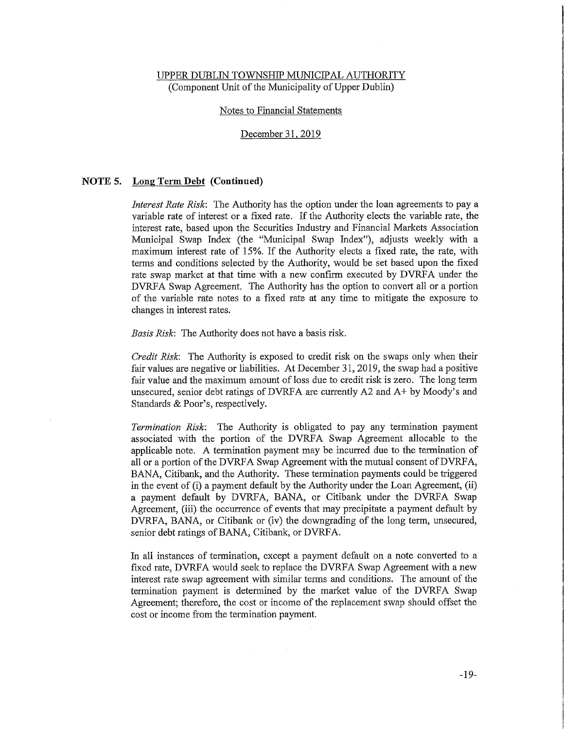#### Notes to Financial Statements

#### December 31, 2019

### **NOTE 5. Long Term Debt (Continued)**

*Interest Rate Risk:* The Authority has the option under the loan agreements to pay a variable rate of interest or a fixed rate. If the Authority elects the variable rate, the interest rate, based upon the Securities Industry and Financial Markets Association Municipal Swap Index (the "Municipal Swap Index"), adjusts weekly with a maximum interest rate of 15%. If the Authority elects a fixed rate, the rate, with terms and conditions selected by the Authority, would be set based upon the fixed rate swap market at that time with a new confirm executed by DVRFA under the DVRFA Swap Agreement. The Authority has the option to convert all or a portion of the variable rate notes to a fixed rate at any time to mitigate the exposure to changes in interest rates.

*Basis Risk:* The Authority does not have a basis risk.

*Credit Risk:* The Authority is exposed to credit risk on the swaps only when their fair values are negative or liabilities. At December 31, 2019, the swap had a positive fair value and the maximum amount of loss due to credit risk is zero. The long term unsecured, senior debt ratings of DVRFA are currently A2 and A+ by Moody's and Standards & Poor's, respectively.

*Termination Risk:* The Authority is obligated to pay any termination payment associated with the portion of the DVRFA Swap Agreement allocable to the applicable note. A termination payment may be incurred due to the termination of all or a portion of the DVRFA Swap Agreement with the mutual consent of DVRFA, BANA, Citibank, and the Authority. These termination payments could be triggered in the event of (i) a payment default by the Authority under the Loan Agreement, (ii) a payment default by DVRFA, BANA, or Citibank under the DVRFA Swap Agreement, (iii) the occurrence of events that may precipitate a payment default by DVRFA, BANA, or Citibank or (iv) the downgrading of the long term, unsecured, senior debt ratings of BANA, Citibank, or DVRFA.

In all instances of termination, except a payment default on a note converted to a fixed rate, DVRFA would seek to replace the DVRFA Swap Agreement with a new interest rate swap agreement with similar terms and conditions. The amount of the termination payment is determined by the market value of the DVRFA Swap Agreement; therefore, the cost or income of the replacement swap should offset the cost or income from the termination payment.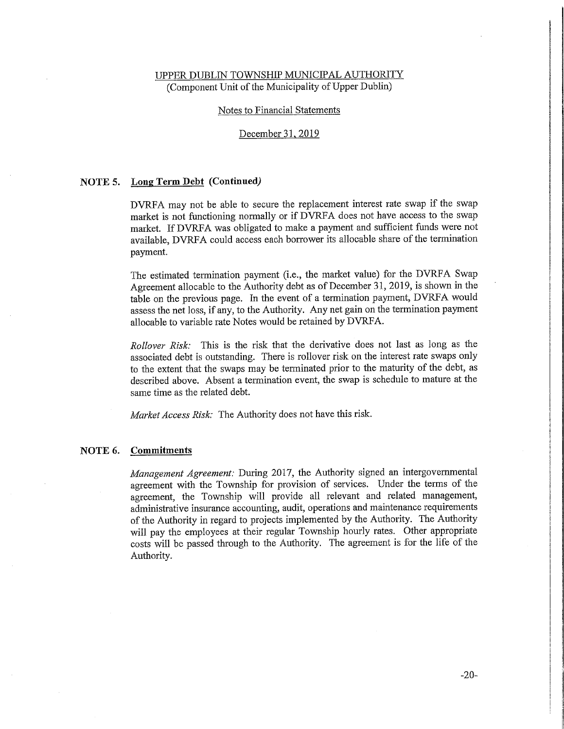#### Notes to Financial Statements

#### December 31, 2019

### **NOTE 5. Long Term Debt (Continued)**

DVRFA may not be able to secure the replacement interest rate swap if the swap market is not functioning normally or if DVRFA does not have access to the swap market. If DVRFA was obligated to make a payment and sufficient funds were not available, DVRFA could access each borrower its allocable share of the termination payment.

The estimated termination payment (i.e., the market value) for the DVRFA Swap Agreement allocable to the Authority debt as of December 31, 2019, is shown in the table on the previous page. In the event of a termination payment, DVRFA would assess the net loss, if any, to the Authority. Any net gain on the termination payment allocable to variable rate Notes would be retained by DVRFA.

*Rollover Risk:* This is the risk that the derivative does not last as long as the associated debt is outstanding. There is rollover risk on the interest rate swaps only to the extent that the swaps may be terminated prior to the maturity of the debt, as described above. Absent a termination event, the swap is schedule to mature at the same time as the related debt.

*Market Access Risk:* The Authority does not have this risk.

### **NOTE 6. Commitments**

*Management Agreement:* During 2017, the Authority signed an intergovernmental agreement with the Township for provision of services. Under the terms of the agreement, the Township will provide all relevant and related management, administrative insurance accounting, audit, operations and maintenance requirements of the Authority in regard to projects implemented by the Authority. The Authority will pay the employees at their regular Township hourly rates. Other appropriate costs will be passed through to the Authority. The agreement is for the life of the Authority.